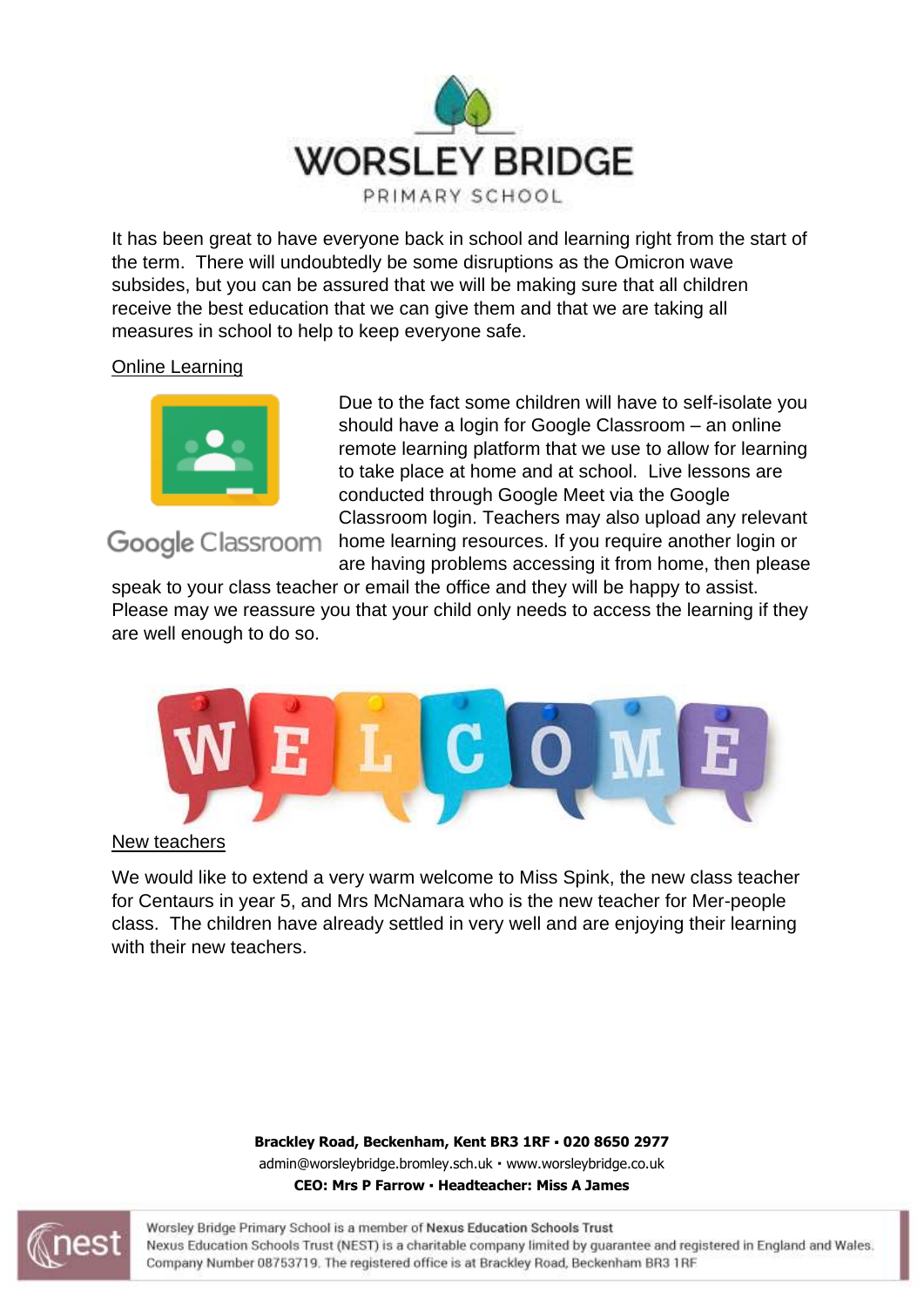

It has been great to have everyone back in school and learning right from the start of the term. There will undoubtedly be some disruptions as the Omicron wave subsides, but you can be assured that we will be making sure that all children receive the best education that we can give them and that we are taking all measures in school to help to keep everyone safe.

## Online Learning



## Google Classroom

Due to the fact some children will have to self-isolate you should have a login for Google Classroom – an online remote learning platform that we use to allow for learning to take place at home and at school. Live lessons are conducted through Google Meet via the Google Classroom login. Teachers may also upload any relevant home learning resources. If you require another login or

are having problems accessing it from home, then please

speak to your class teacher or email the office and they will be happy to assist. Please may we reassure you that your child only needs to access the learning if they are well enough to do so.



New teachers

We would like to extend a very warm welcome to Miss Spink, the new class teacher for Centaurs in year 5, and Mrs McNamara who is the new teacher for Mer-people class. The children have already settled in very well and are enjoying their learning with their new teachers.

> **Brackley Road, Beckenham, Kent BR3 1RF 020 8650 2977** admin@worsleybridge.bromley.sch.uk · [www.worsleybridge.co.uk](http://www.worsleybridge.co.uk/) **CEO: Mrs P Farrow Headteacher: Miss A James**

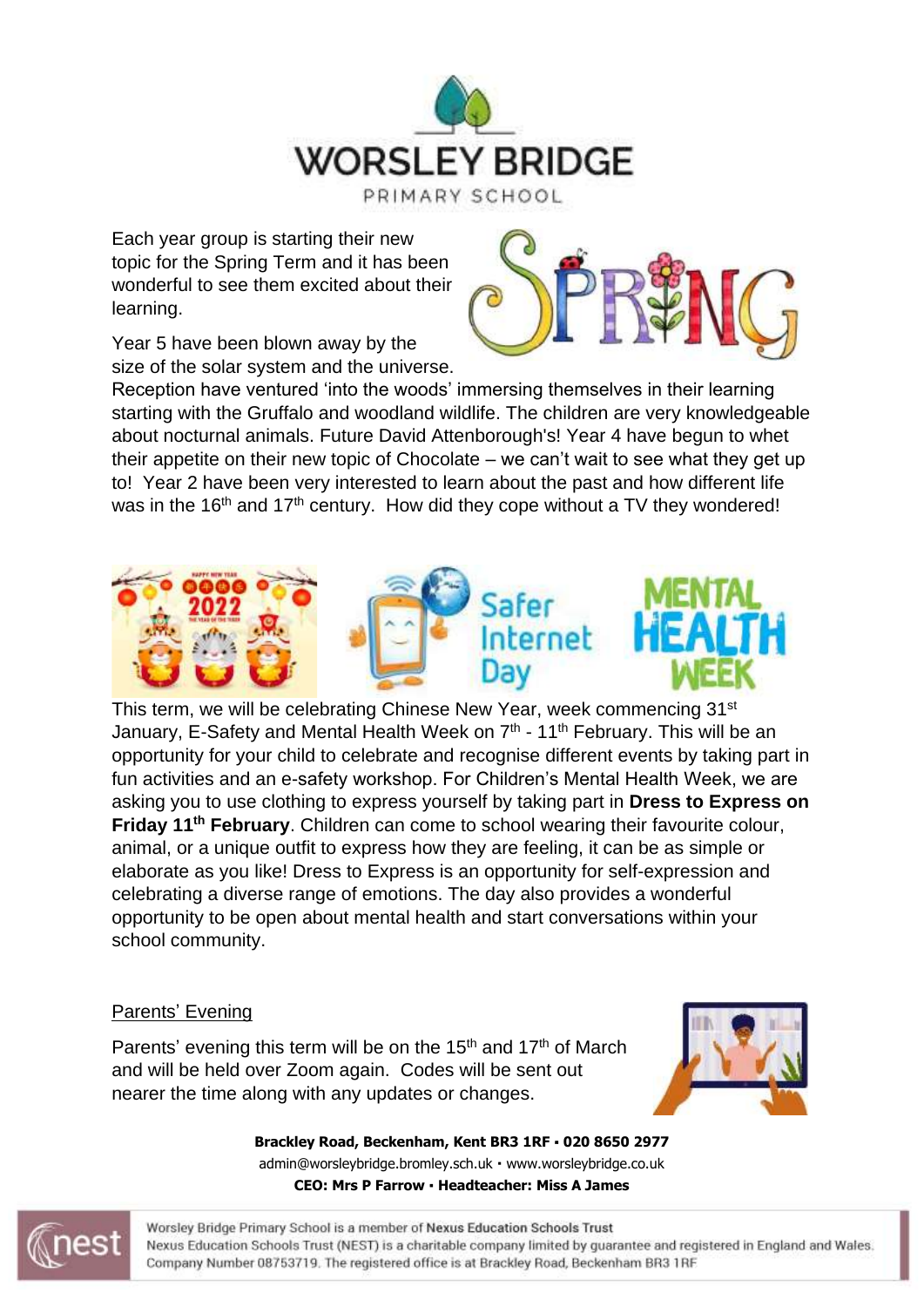

Each year group is starting their new topic for the Spring Term and it has been wonderful to see them excited about their learning.



Year 5 have been blown away by the size of the solar system and the universe.

Reception have ventured 'into the woods' immersing themselves in their learning starting with the Gruffalo and woodland wildlife. The children are very knowledgeable about nocturnal animals. Future David Attenborough's! Year 4 have begun to whet their appetite on their new topic of Chocolate – we can't wait to see what they get up to! Year 2 have been very interested to learn about the past and how different life was in the 16<sup>th</sup> and 17<sup>th</sup> century. How did they cope without a TV they wondered!



This term, we will be celebrating Chinese New Year, week commencing 31<sup>st</sup> January, E-Safety and Mental Health Week on 7<sup>th</sup> - 11<sup>th</sup> February. This will be an opportunity for your child to celebrate and recognise different events by taking part in fun activities and an e-safety workshop. For Children's Mental Health Week, we are asking you to use clothing to express yourself by taking part in **Dress to Express on Friday 11th February**. Children can come to school wearing their favourite colour, animal, or a unique outfit to express how they are feeling, it can be as simple or elaborate as you like! Dress to Express is an opportunity for self-expression and celebrating a diverse range of emotions. The day also provides a wonderful opportunity to be open about mental health and start conversations within your school community.

## Parents' Evening

Parents' evening this term will be on the 15<sup>th</sup> and 17<sup>th</sup> of March and will be held over Zoom again. Codes will be sent out nearer the time along with any updates or changes.



**Brackley Road, Beckenham, Kent BR3 1RF 020 8650 2977** admin@worsleybridge.bromley.sch.uk · [www.worsleybridge.co.uk](http://www.worsleybridge.co.uk/) **CEO: Mrs P Farrow Headteacher: Miss A James**

Worsley Bridge Primary School is a member of Nexus Education Schools Trust Nexus Education Schools Trust (NEST) is a charitable company limited by guarantee and registered in England and Wales. Company Number 08753719. The registered office is at Brackley Road, Beckenham BR3 1RF